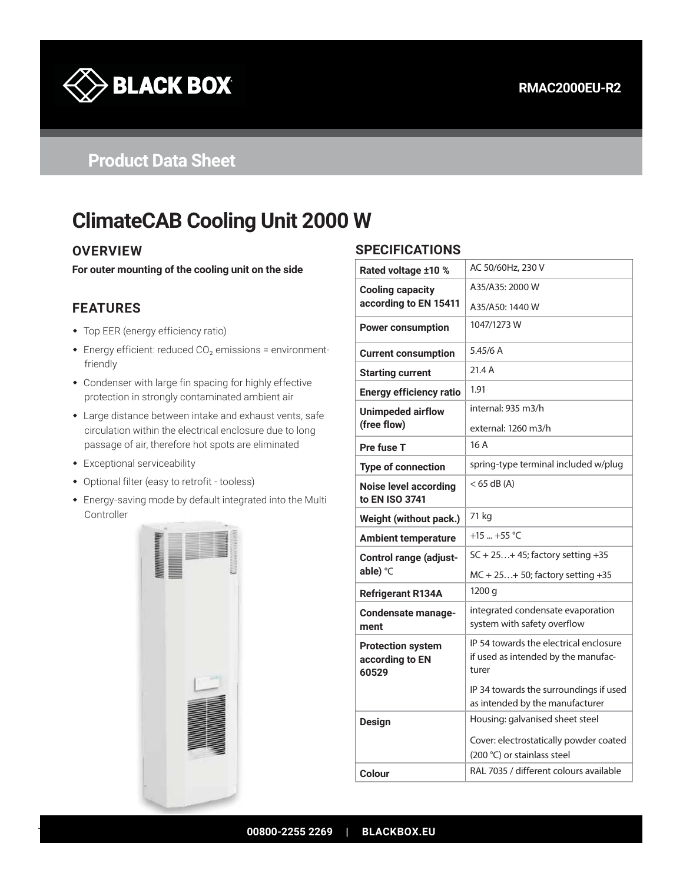

# **Product Data Sheet**

# **ClimateCAB Cooling Unit 2000 W**

#### **OVERVIEW**

**For outer mounting of the cooling unit on the side**

## **FEATURES**

- Top EER (energy efficiency ratio)
- Energy efficient: reduced CO₂ emissions = environmentfriendly
- Condenser with large fin spacing for highly effective protection in strongly contaminated ambient air
- Large distance between intake and exhaust vents, safe circulation within the electrical enclosure due to long passage of air, therefore hot spots are eliminated
- Exceptional serviceability
- Optional filter (easy to retrofit tooless)
- Energy-saving mode by default integrated into the Multi Controller



#### **SPECIFICATIONS**

| Rated voltage ±10 %                                  | AC 50/60Hz, 230 V                                                                      |
|------------------------------------------------------|----------------------------------------------------------------------------------------|
| <b>Cooling capacity</b>                              | A35/A35: 2000 W                                                                        |
| according to EN 15411                                | A35/A50: 1440 W                                                                        |
| <b>Power consumption</b>                             | 1047/1273 W                                                                            |
| <b>Current consumption</b>                           | 5.45/6 A                                                                               |
| <b>Starting current</b>                              | 21.4 A                                                                                 |
| <b>Energy efficiency ratio</b>                       | 1.91                                                                                   |
| <b>Unimpeded airflow</b>                             | internal: 935 m3/h                                                                     |
| (free flow)                                          | external: 1260 m3/h                                                                    |
| Pre fuse T                                           | 16A                                                                                    |
| <b>Type of connection</b>                            | spring-type terminal included w/plug                                                   |
| <b>Noise level according</b><br>to EN ISO 3741       | < 65 dB (A)                                                                            |
| Weight (without pack.)                               | 71 kg                                                                                  |
| <b>Ambient temperature</b>                           | +15  +55 $^{\circ}$ C                                                                  |
| <b>Control range (adjust-</b>                        | $SC + 25+ 45$ ; factory setting +35                                                    |
| able) °C                                             | $MC + 25+ 50$ ; factory setting +35                                                    |
| <b>Refrigerant R134A</b>                             | 1200 g                                                                                 |
| Condensate manage-<br>ment                           | integrated condensate evaporation<br>system with safety overflow                       |
| <b>Protection system</b><br>according to EN<br>60529 | IP 54 towards the electrical enclosure<br>if used as intended by the manufac-<br>turer |
|                                                      | IP 34 towards the surroundings if used<br>as intended by the manufacturer              |
| <b>Design</b>                                        | Housing: galvanised sheet steel                                                        |
|                                                      | Cover: electrostatically powder coated<br>(200 °C) or stainlass steel                  |
| Colour                                               | RAL 7035 / different colours available                                                 |
|                                                      |                                                                                        |